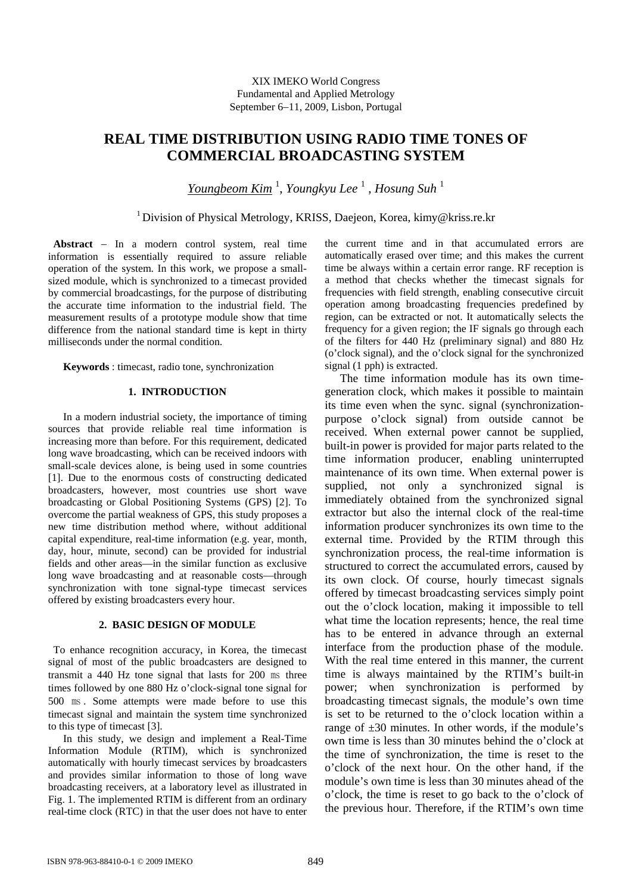# **REAL TIME DISTRIBUTION USING RADIO TIME TONES OF COMMERCIAL BROADCASTING SYSTEM**

*Youngbeom Kim* <sup>1</sup> , *Youngkyu Lee* <sup>1</sup> , *Hosung Suh* <sup>1</sup>

<sup>1</sup> Division of Physical Metrology, KRISS, Daejeon, Korea, kimy@kriss.re.kr

**Abstract** − In a modern control system, real time information is essentially required to assure reliable operation of the system. In this work, we propose a smallsized module, which is synchronized to a timecast provided by commercial broadcastings, for the purpose of distributing the accurate time information to the industrial field. The measurement results of a prototype module show that time difference from the national standard time is kept in thirty milliseconds under the normal condition.

**Keywords** : timecast, radio tone, synchronization

## **1. INTRODUCTION**

In a modern industrial society, the importance of timing sources that provide reliable real time information is increasing more than before. For this requirement, dedicated long wave broadcasting, which can be received indoors with small-scale devices alone, is being used in some countries [1]. Due to the enormous costs of constructing dedicated broadcasters, however, most countries use short wave broadcasting or Global Positioning Systems (GPS) [2]. To overcome the partial weakness of GPS, this study proposes a new time distribution method where, without additional capital expenditure, real-time information (e.g. year, month, day, hour, minute, second) can be provided for industrial fields and other areas—in the similar function as exclusive long wave broadcasting and at reasonable costs—through synchronization with tone signal-type timecast services offered by existing broadcasters every hour.

## **2. BASIC DESIGN OF MODULE**

To enhance recognition accuracy, in Korea, the timecast signal of most of the public broadcasters are designed to transmit a 440 Hz tone signal that lasts for 200 ms three times followed by one 880 Hz o'clock-signal tone signal for 500 ㎳ . Some attempts were made before to use this timecast signal and maintain the system time synchronized to this type of timecast [3].

In this study, we design and implement a Real-Time Information Module (RTIM), which is synchronized automatically with hourly timecast services by broadcasters and provides similar information to those of long wave broadcasting receivers, at a laboratory level as illustrated in Fig. 1. The implemented RTIM is different from an ordinary real-time clock (RTC) in that the user does not have to enter the current time and in that accumulated errors are automatically erased over time; and this makes the current time be always within a certain error range. RF reception is a method that checks whether the timecast signals for frequencies with field strength, enabling consecutive circuit operation among broadcasting frequencies predefined by region, can be extracted or not. It automatically selects the frequency for a given region; the IF signals go through each of the filters for 440 Hz (preliminary signal) and 880 Hz (o'clock signal), and the o'clock signal for the synchronized signal (1 pph) is extracted.

The time information module has its own timegeneration clock, which makes it possible to maintain its time even when the sync. signal (synchronizationpurpose o'clock signal) from outside cannot be received. When external power cannot be supplied, built-in power is provided for major parts related to the time information producer, enabling uninterrupted maintenance of its own time. When external power is supplied, not only a synchronized signal is immediately obtained from the synchronized signal extractor but also the internal clock of the real-time information producer synchronizes its own time to the external time. Provided by the RTIM through this synchronization process, the real-time information is structured to correct the accumulated errors, caused by its own clock. Of course, hourly timecast signals offered by timecast broadcasting services simply point out the o'clock location, making it impossible to tell what time the location represents; hence, the real time has to be entered in advance through an external interface from the production phase of the module. With the real time entered in this manner, the current time is always maintained by the RTIM's built-in power; when synchronization is performed by broadcasting timecast signals, the module's own time is set to be returned to the o'clock location within a range of  $\pm 30$  minutes. In other words, if the module's own time is less than 30 minutes behind the o'clock at the time of synchronization, the time is reset to the o'clock of the next hour. On the other hand, if the module's own time is less than 30 minutes ahead of the o'clock, the time is reset to go back to the o'clock of the previous hour. Therefore, if the RTIM's own time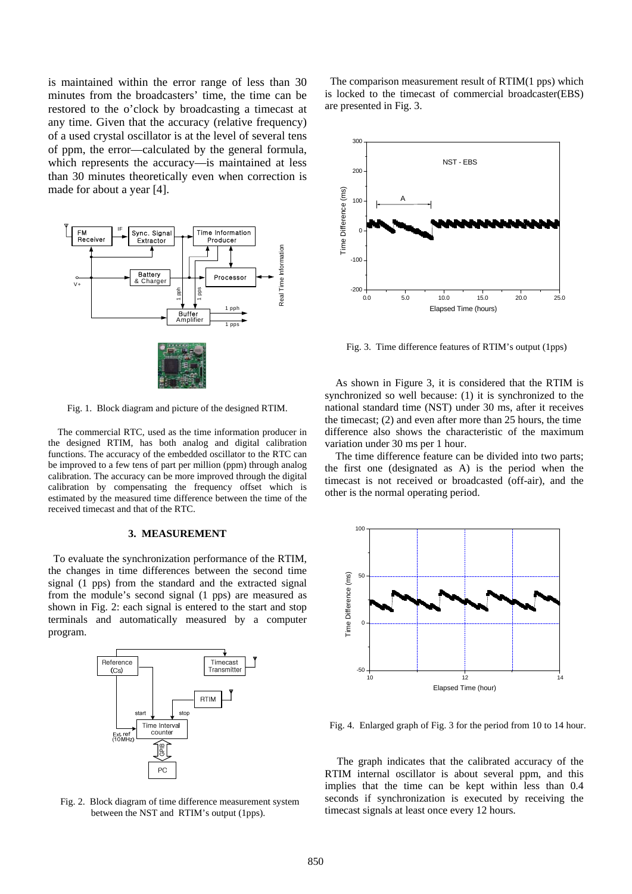is maintained within the error range of less than 30 minutes from the broadcasters' time, the time can be restored to the o'clock by broadcasting a timecast at any time. Given that the accuracy (relative frequency) of a used crystal oscillator is at the level of several tens of ppm, the error—calculated by the general formula, which represents the accuracy—is maintained at less than 30 minutes theoretically even when correction is made for about a year [4].



Fig. 1. Block diagram and picture of the designed RTIM.

The commercial RTC, used as the time information producer in the designed RTIM, has both analog and digital calibration functions. The accuracy of the embedded oscillator to the RTC can be improved to a few tens of part per million (ppm) through analog calibration. The accuracy can be more improved through the digital calibration by compensating the frequency offset which is estimated by the measured time difference between the time of the received timecast and that of the RTC.

## **3. MEASUREMENT**

To evaluate the synchronization performance of the RTIM, the changes in time differences between the second time signal (1 pps) from the standard and the extracted signal from the module's second signal (1 pps) are measured as shown in Fig. 2: each signal is entered to the start and stop terminals and automatically measured by a computer program.



Fig. 2. Block diagram of time difference measurement system between the NST and RTIM's output (1pps).

The comparison measurement result of RTIM(1 pps) which is locked to the timecast of commercial broadcaster(EBS) are presented in Fig. 3.



Fig. 3. Time difference features of RTIM's output (1pps)

As shown in Figure 3, it is considered that the RTIM is synchronized so well because: (1) it is synchronized to the national standard time (NST) under 30 ms, after it receives the timecast; (2) and even after more than 25 hours, the time difference also shows the characteristic of the maximum variation under 30 ms per 1 hour.

The time difference feature can be divided into two parts; the first one (designated as A) is the period when the timecast is not received or broadcasted (off-air), and the other is the normal operating period.



Fig. 4. Enlarged graph of Fig. 3 for the period from 10 to 14 hour.

The graph indicates that the calibrated accuracy of the RTIM internal oscillator is about several ppm, and this implies that the time can be kept within less than 0.4 seconds if synchronization is executed by receiving the timecast signals at least once every 12 hours.